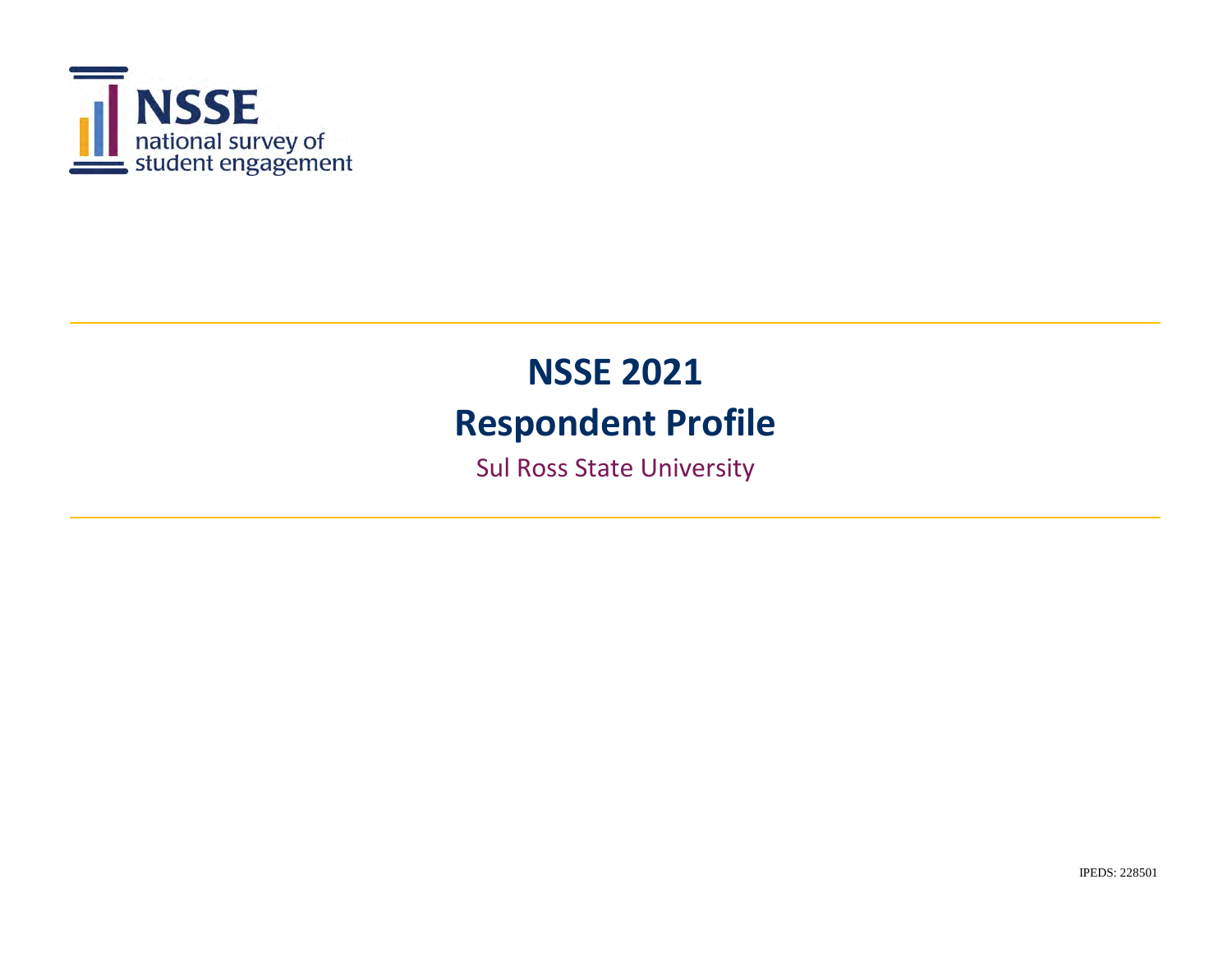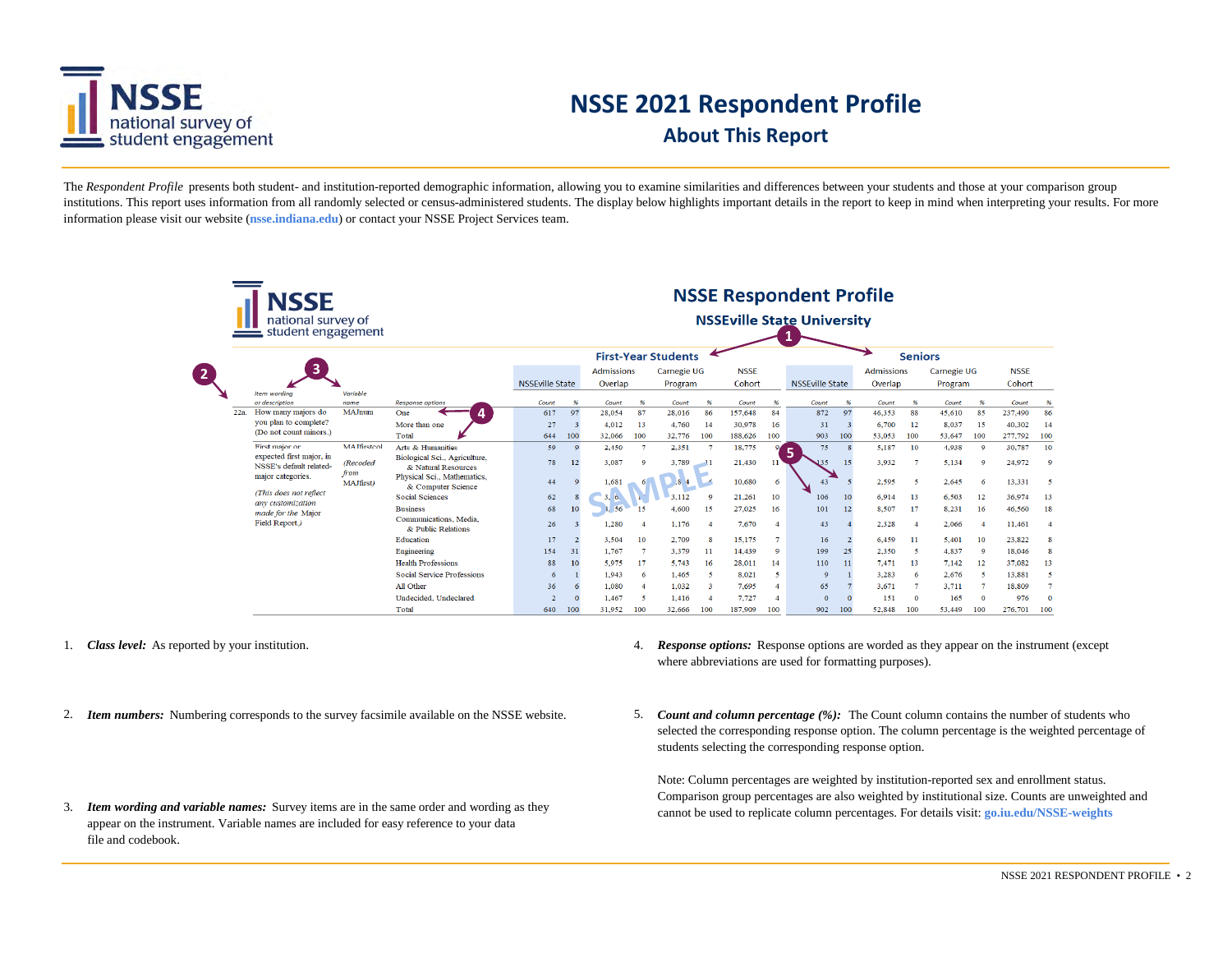

## **NSSE 2021 Respondent Profile About This Report**

The *Respondent Profile* presents both student- and institution-reported demographic information, allowing you to examine similarities and differences between your students and those at your comparison group institutions. This report uses information from all randomly selected or census-administered students. The display below highlights important details in the report to keep in mind when interpreting your results. For more information please visit our website (**nsse.indiana.edu**) or contact your NSSE Project Services team.

|                |     | <b>NSSE</b><br>national survey of<br>student engagement |                         |                                                      |                        |          |                              |                  |                            |                |                       |                | <b>NSSE Respondent Profile</b><br><b>NSSEville State University</b> |     |                              |                |                        |              |                       |         |
|----------------|-----|---------------------------------------------------------|-------------------------|------------------------------------------------------|------------------------|----------|------------------------------|------------------|----------------------------|----------------|-----------------------|----------------|---------------------------------------------------------------------|-----|------------------------------|----------------|------------------------|--------------|-----------------------|---------|
|                |     |                                                         |                         |                                                      |                        |          |                              |                  | <b>First-Year Students</b> |                |                       |                |                                                                     |     |                              | <b>Seniors</b> |                        |              |                       |         |
| $\overline{2}$ |     | 3                                                       |                         |                                                      | <b>NSSEville State</b> |          | <b>Admissions</b><br>Overlap |                  | Carnegie UG<br>Program     |                | <b>NSSE</b><br>Cohort |                | <b>NSSEville State</b>                                              |     | <b>Admissions</b><br>Overlap |                | Carnegie UG<br>Program |              | <b>NSSE</b><br>Cohort |         |
|                |     | Item wording<br>or description                          | Variable<br>name        | <b>Response options</b>                              | Count                  | 96       | Count                        | 96               | Count                      | $\frac{96}{6}$ | Count                 | 96             | Count                                                               | 96  | Count                        | $\frac{96}{2}$ | Count                  | 96           | Count                 |         |
|                | 22a | How many majors do                                      | MAJnum                  | One                                                  | 617                    | 97       | 28,054                       | 87               | 28,016                     | 86             | 157,648               | 84             | 872                                                                 | 97  | 46,353                       | 88             | 45,610                 | 85           | 237,490               | 86      |
|                |     | you plan to complete?                                   |                         | More than one                                        | 27                     |          | 4.012                        | 13               | 4,760                      | -14            | 30,978                | 16             | 31                                                                  |     | 6,700                        | - 12           | 8.037                  | 15           | 40,302                | 14      |
|                |     | (Do not count minors.)                                  |                         | Total                                                | 644                    | 100      | 32,066                       | 100              | 32,776                     | 100            | 188,626               | 100            | 903                                                                 | 100 | 53,053                       | 100            | 53,647                 | 100          | 277,792               | 100     |
|                |     | First major or                                          | <b>MAJfirstcol</b>      | Arts & Humanities                                    | 59                     | $\Omega$ | 2,450                        | $\mathcal{I}$    | 2,351                      | $\overline{7}$ | 18,775                |                | 75<br>5                                                             |     | 5,187                        | 10             | 4,938                  | $\Omega$     | 30,787                | 10      |
|                |     | expected first major, in<br>NSSE's default related-     | <b>(Recoded</b><br>from | Biological Sci., Agriculture,<br>& Natural Resources | 78                     | 12       | 3,087                        | $\bullet$        | 3,789                      |                | 21,430                | 11             | 135                                                                 | 15  | 3.932                        |                | 5,134                  | $\circ$      | 24,972                | $\circ$ |
|                |     | major categories.<br>(This does not reflect             | MAJfirst)               | Physical Sci., Mathematics,<br>& Computer Science    | 44                     |          | 1,681                        |                  | 8.4                        | F              | 10,680                | 6              | 43                                                                  |     | 2.595                        | -5             | 2.645                  | -6           | 13.331                |         |
|                |     | any customization                                       |                         | <b>Social Sciences</b>                               | 62                     |          | 3.6.                         |                  | 3.112                      | $\circ$        | 21,261                | 10             | 106                                                                 | 10  | 6,914                        | 13             | 6,503                  | 12           | 36,974                | 13      |
|                |     | made for the Major                                      |                         | <b>Business</b>                                      | 68                     | 10       | 1, 56                        | 15               | 4,600                      | 15             | 27,025                | 16             | 101                                                                 | 12  | 8,507                        | 17             | 8,231                  | 16           | 46,560                | 18      |
|                |     | Field Report.)                                          |                         | Communications, Media,<br>& Public Relations         | 26                     |          | 1,280                        | $\overline{4}$   | 1.176                      |                | 7,670                 | $\overline{4}$ | 43                                                                  |     | 2,328                        |                | 2,066                  |              | 11,461                |         |
|                |     |                                                         |                         | Education                                            | 17                     |          | 3,504                        | 10               | 2,709                      | 8              | 15,175                |                | 16                                                                  |     | 6,459                        | 11             | 5.401                  | 10           | 23,822                |         |
|                |     |                                                         |                         | Engineering                                          | 154                    | 31       | 1,767                        |                  | 3,379                      | -11            | 14,439                | $\mathbf Q$    | 199                                                                 | 25  | 2.350                        | -5             | 4,837                  | $\mathbf Q$  | 18,046                |         |
|                |     |                                                         |                         | <b>Health Professions</b>                            | 88                     | 10       | 5.975                        | 17               | 5.743                      | 16             | 28,011                | 14             | 110                                                                 | 11  | 7,471                        | 13             | 7.142                  | 12           | 37,082                | 13      |
|                |     |                                                         |                         | <b>Social Service Professions</b>                    | 6                      |          | 1,943                        | 6                | 1.465                      | -5             | 8,021                 | 5              | $\mathbf Q$                                                         |     | 3,283                        | -6             | 2.676                  | -5           | 13,881                | 5       |
|                |     |                                                         |                         | All Other                                            | 36                     |          | 1,080                        | $\boldsymbol{A}$ | 1.032                      | -3             | 7,695                 | 4              | 65                                                                  |     | 3.671                        |                | 3,711                  |              | 18,809                |         |
|                |     |                                                         |                         | Undecided, Undeclared                                | $\mathcal{D}$          |          | 1,467                        | ×                | 1.416                      |                | 7,727                 |                | $\overline{0}$                                                      |     | 151                          | $\Omega$       | 165                    | $\mathbf{0}$ | 976                   |         |
|                |     |                                                         |                         | Total                                                | 640                    | 100      | 31.952                       | 100              | 32.666                     | 100            | 187.909               | 100            | 902                                                                 | 100 | 52.848                       | 100            | 53.449                 | 100          | 276.701               | 100     |

- 1. **Class level:** As reported by your institution. 4.
- 2. Item numbers: Numbering corresponds to the survey facsimile available on the NSSE website.
- 3. *Item wording and variable names:* Survey items are in the same order and wording as they appear on the instrument. Variable names are included for easy reference to your data file and codebook.
- *Response options:* Response options are worded as they appear on the instrument (except where abbreviations are used for formatting purposes).
- *Item numbers:* Numbering corresponds to the survey facsimile available on the NSSE website. *Count and column percentage (%):* The Count column contains the number of students who selected the corresponding response option. The column percentage is the weighted percentage of students selecting the corresponding response option.

Note: Column percentages are weighted by institution-reported sex and enrollment status. Comparison group percentages are also weighted by institutional size. Counts are unweighted and cannot be used to replicate column percentages. For details visit: **go.iu.edu/NSSE-weights**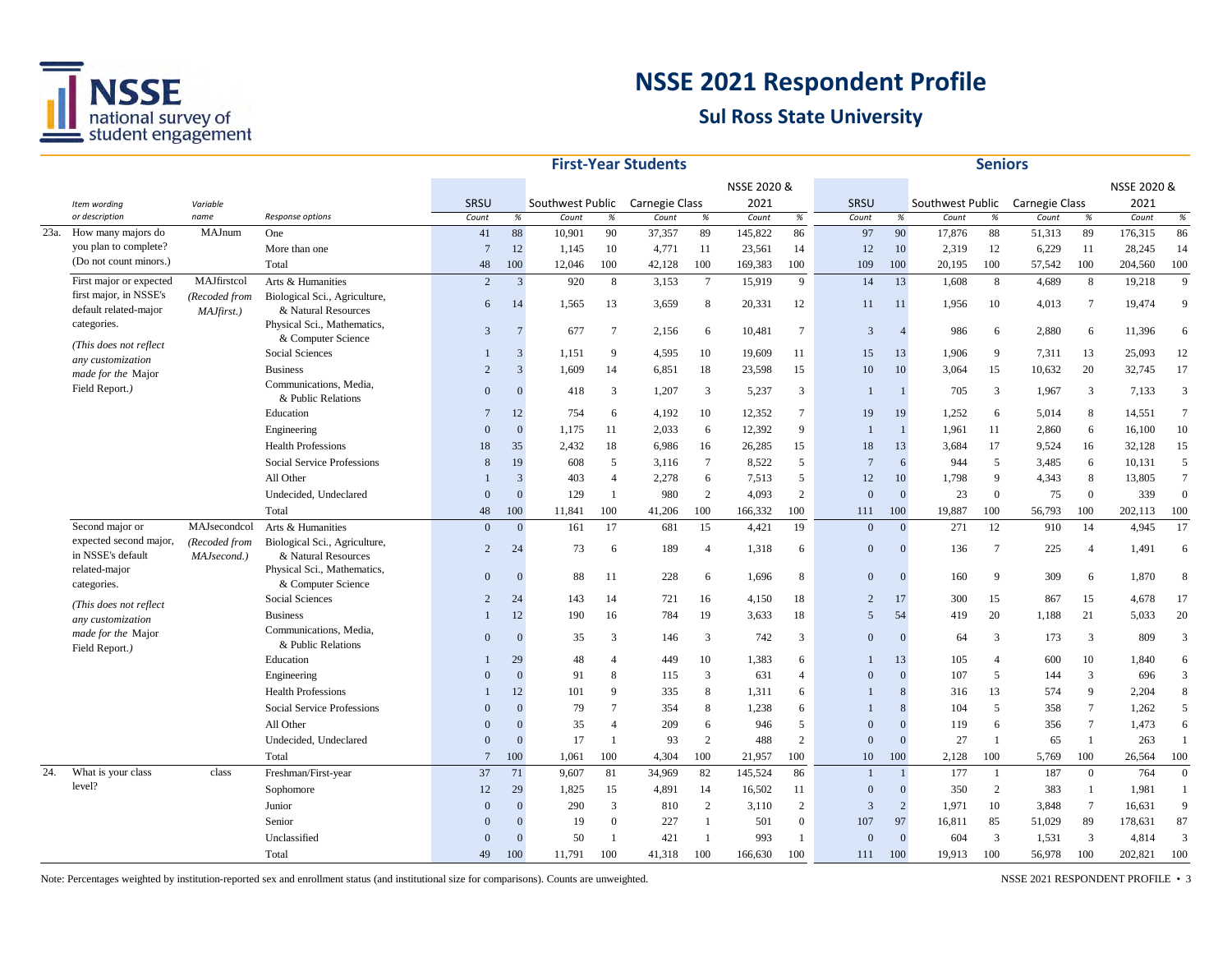

#### **Sul Ross State University**

|      |                                             |                              |                                                      |                 |                |                  |                 | <b>First-Year Students</b> |                |             |                 |                |                |                  | <b>Seniors</b>  |                |                 |             |                  |
|------|---------------------------------------------|------------------------------|------------------------------------------------------|-----------------|----------------|------------------|-----------------|----------------------------|----------------|-------------|-----------------|----------------|----------------|------------------|-----------------|----------------|-----------------|-------------|------------------|
|      |                                             |                              |                                                      |                 |                |                  |                 |                            |                | NSSE 2020 & |                 |                |                |                  |                 |                |                 | NSSE 2020 & |                  |
|      | Item wording                                | Variable                     |                                                      | SRSU            |                | Southwest Public |                 | Carnegie Class             |                | 2021        |                 | SRSU           |                | Southwest Public |                 | Carnegie Class |                 | 2021        |                  |
|      | or description                              | name                         | Response options                                     | Count           | $\%$           | Count            | %               | Count                      | $\%$           | Count       | $\%$            | Count          | $\%$           | Count            | $\%$            | Count          | $\%$            | Count       | $\%$             |
| 23a. | How many majors do                          | MAJnum                       | One                                                  | 41              | 88             | 10,901           | 90              | 37,357                     | 89             | 145,822     | 86              | 97             | 90             | 17,876           | 88              | 51,313         | 89              | 176,315     | 86               |
|      | you plan to complete?                       |                              | More than one                                        | $\overline{7}$  | 12             | 1,145            | 10              | 4,771                      | 11             | 23,561      | 14              | 12             | 10             | 2,319            | 12              | 6,229          | $11\,$          | 28,245      | 14               |
|      | (Do not count minors.)                      |                              | Total                                                | 48              | 100            | 12,046           | 100             | 42,128                     | 100            | 169,383     | 100             | 109            | 100            | 20,195           | 100             | 57,542         | 100             | 204,560     | 100              |
|      | First major or expected                     | MAJfirstcol                  | Arts & Humanities                                    | 2               | $\overline{3}$ | 920              | 8               | 3,153                      | $\tau$         | 15,919      | 9               | 14             | 13             | 1,608            | 8               | 4,689          | 8               | 19,218      | 9                |
|      | first major, in NSSE's                      | (Recoded from                | Biological Sci., Agriculture,                        | 6               | 14             | 1,565            | 13              | 3,659                      | 8              | 20,331      | 12              | 11             | 11             | 1,956            | 10              | 4,013          | $\overline{7}$  | 19,474      | 9                |
|      | default related-major                       | MAJfirst.)                   | & Natural Resources                                  |                 |                |                  |                 |                            |                |             |                 |                |                |                  |                 |                |                 |             |                  |
|      | categories.                                 |                              | Physical Sci., Mathematics,<br>& Computer Science    | 3               | $\overline{7}$ | 677              | $7\phantom{.0}$ | 2,156                      | 6              | 10,481      | $7\phantom{.0}$ | 3              | $\overline{4}$ | 986              | 6               | 2,880          | 6               | 11,396      | 6                |
|      | (This does not reflect                      |                              | Social Sciences                                      |                 | 3              | 1,151            | 9               | 4,595                      | 10             | 19,609      | 11              | 15             | 13             | 1,906            | 9               | 7,311          | 13              | 25,093      | 12               |
|      | any customization                           |                              | <b>Business</b>                                      | $\overline{c}$  | $\overline{3}$ | 1,609            | 14              | 6,851                      | 18             | 23,598      | 15              | 10             | 10             | 3,064            | 15              | 10,632         | 20              | 32,745      | 17               |
|      | made for the Major                          |                              | Communications, Media,                               |                 |                |                  |                 |                            |                |             |                 |                |                |                  |                 |                |                 |             |                  |
|      | Field Report.)                              |                              | & Public Relations                                   | $\Omega$        | $\Omega$       | 418              | 3               | 1,207                      | 3              | 5,237       | 3               |                |                | 705              | 3               | 1,967          | 3               | 7,133       | 3                |
|      |                                             |                              | Education                                            | $\overline{7}$  | 12             | 754              | 6               | 4,192                      | 10             | 12,352      | $7\phantom{.0}$ | 19             | 19             | 1,252            | 6               | 5,014          | 8               | 14,551      | $7\phantom{.0}$  |
|      |                                             |                              | Engineering                                          | $\theta$        | $\overline{0}$ | 1,175            | 11              | 2,033                      | 6              | 12,392      | 9               |                |                | 1,961            | 11              | 2,860          | 6               | 16,100      | 10               |
|      |                                             |                              | <b>Health Professions</b>                            | 18              | 35             | 2,432            | 18              | 6,986                      | 16             | 26,285      | 15              | 18             | 13             | 3,684            | 17              | 9,524          | 16              | 32,128      | 15               |
|      |                                             |                              | Social Service Professions                           | 8               | 19             | 608              | 5               | 3,116                      | $\tau$         | 8,522       | 5               | $\overline{7}$ | 6              | 944              | 5               | 3,485          | 6               | 10,131      | 5                |
|      |                                             |                              | All Other                                            |                 | 3              | 403              | $\overline{4}$  | 2,278                      | 6              | 7,513       | 5               | 12             | 10             | 1,798            | 9               | 4,343          | 8               | 13,805      | $\overline{7}$   |
|      |                                             |                              | Undecided, Undeclared                                | $\Omega$        | $\theta$       | 129              | $\overline{1}$  | 980                        | $\overline{2}$ | 4,093       | $\overline{2}$  | $\Omega$       | $\mathbf{0}$   | 23               | $\overline{0}$  | 75             | $\mathbf{0}$    | 339         | $\boldsymbol{0}$ |
|      |                                             |                              | Total                                                | 48              | 100            | 11,841           | 100             | 41,206                     | 100            | 166,332     | 100             | 111            | 100            | 19,887           | 100             | 56,793         | 100             | 202,113     | 100              |
|      | Second major or                             | MAJsecondcol                 | Arts & Humanities                                    | $\Omega$        | $\overline{0}$ | 161              | 17              | 681                        | 15             | 4,421       | 19              | $\Omega$       | $\mathbf{0}$   | 271              | 12              | 910            | 14              | 4,945       | 17               |
|      | expected second major,<br>in NSSE's default | (Recoded from<br>MAJsecond.) | Biological Sci., Agriculture,<br>& Natural Resources | $\overline{2}$  | 24             | 73               | 6               | 189                        | $\overline{4}$ | 1,318       | 6               | $\Omega$       | $\Omega$       | 136              | $7\phantom{.0}$ | 225            | $\overline{4}$  | 1,491       | 6                |
|      | related-major<br>categories.                |                              | Physical Sci., Mathematics,<br>& Computer Science    | $\theta$        | $\Omega$       | 88               | 11              | 228                        | 6              | 1,696       | 8               | $\Omega$       | $\Omega$       | 160              | 9               | 309            | 6               | 1,870       | 8                |
|      |                                             |                              | Social Sciences                                      | $\overline{c}$  | 24             | 143              | 14              | 721                        | 16             | 4,150       | 18              | $\overline{c}$ | 17             | 300              | 15              | 867            | 15              | 4,678       | 17               |
|      | (This does not reflect<br>any customization |                              | <b>Business</b>                                      |                 | 12             | 190              | 16              | 784                        | 19             | 3,633       | 18              | 5              | 54             | 419              | 20              | 1,188          | 21              | 5,033       | 20               |
|      | made for the Major                          |                              | Communications, Media,                               |                 |                |                  |                 |                            |                |             |                 |                |                |                  |                 |                |                 |             |                  |
|      | Field Report.)                              |                              | & Public Relations                                   | $\theta$        | $\Omega$       | 35               | 3               | 146                        | 3              | 742         | 3               | $\theta$       | $\Omega$       | 64               | 3               | 173            | 3               | 809         | 3                |
|      |                                             |                              | Education                                            | 1               | 29             | 48               | $\overline{4}$  | 449                        | 10             | 1,383       | 6               | 1              | 13             | 105              | $\overline{4}$  | 600            | 10              | 1,840       | 6                |
|      |                                             |                              | Engineering                                          | $\Omega$        | $\theta$       | 91               | 8               | 115                        | 3              | 631         | $\overline{A}$  | $\overline{0}$ | $\Omega$       | 107              | 5               | 144            | 3               | 696         | 3                |
|      |                                             |                              | <b>Health Professions</b>                            |                 | 12             | 101              | -9              | 335                        | 8              | 1,311       | 6               |                | 8              | 316              | 13              | 574            | $\mathbf{Q}$    | 2,204       | 8                |
|      |                                             |                              | Social Service Professions                           | $\Omega$        | $\Omega$       | 79               | $\overline{7}$  | 354                        | 8              | 1,238       | 6               |                | 8              | 104              | 5               | 358            | $\overline{7}$  | 1,262       | 5                |
|      |                                             |                              | All Other                                            | $\Omega$        | $\Omega$       | 35               | $\overline{4}$  | 209                        | 6              | 946         | 5               | $\Omega$       | $\Omega$       | 119              | 6               | 356            | $\tau$          | 1,473       | 6                |
|      |                                             |                              | Undecided, Undeclared                                | $\Omega$        | $\theta$       | 17               | $\mathbf{1}$    | 93                         | $\overline{c}$ | 488         | $\mathbf{2}$    | $\overline{0}$ | $\Omega$       | 27               | $\mathbf{1}$    | 65             | $\mathbf{1}$    | 263         |                  |
|      |                                             |                              | Total                                                | $7\phantom{.0}$ | 100            | 1,061            | 100             | 4.304                      | 100            | 21.957      | 100             | 10             | 100            | 2.128            | 100             | 5,769          | 100             | 26,564      | 100              |
| 24.  | What is your class                          | class                        | Freshman/First-year                                  | 37              | 71             | 9,607            | 81              | 34,969                     | 82             | 145,524     | 86              |                |                | 177              | $\mathbf{1}$    | 187            | $\mathbf{0}$    | 764         | $\mathbf{0}$     |
|      | level?                                      |                              | Sophomore                                            | 12              | 29             | 1,825            | 15              | 4,891                      | 14             | 16,502      | 11              | $\mathbf{0}$   | $\Omega$       | 350              | 2               | 383            | -1              | 1,981       |                  |
|      |                                             |                              | Junior                                               | $\Omega$        | $\Omega$       | 290              | $\overline{3}$  | 810                        | 2              | 3,110       | 2               | 3              | 2              | 1,971            | 10              | 3,848          | $7\phantom{.0}$ | 16,631      | 9                |
|      |                                             |                              | Senior                                               | $\theta$        | $\Omega$       | 19               | $\overline{0}$  | 227                        | $\mathbf{1}$   | 501         | $\overline{0}$  | 107            | 97             | 16,811           | 85              | 51,029         | 89              | 178,631     | 87               |
|      |                                             |                              | Unclassified                                         | $\Omega$        | $\Omega$       | 50               | $\overline{1}$  | 421                        | $\overline{1}$ | 993         | 1               | $\Omega$       | $\Omega$       | 604              | 3               | 1,531          | 3               | 4,814       | 3                |
|      |                                             |                              | Total                                                | 49              | 100            | 11.791           | 100             | 41,318                     | 100            | 166,630     | 100             | 111            | 100            | 19.913           | 100             | 56,978         | 100             | 202,821     | 100              |

Note: Percentages weighted by institution-reported sex and enrollment status (and institutional size for comparisons). Counts are unweighted. NSSE 2021 RESPONDENT PROFILE • 3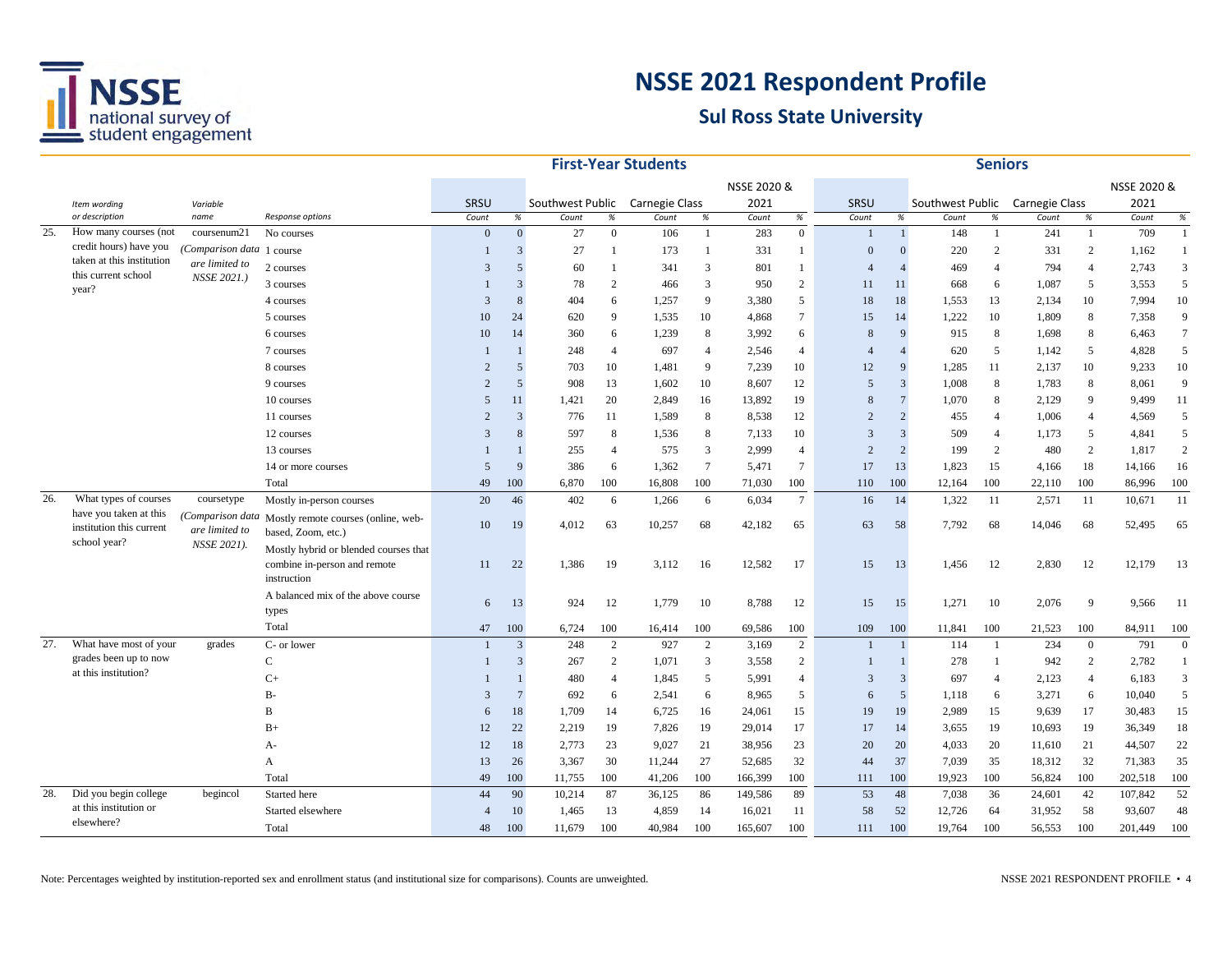

|     |                                                     |                                   |                                                                                      |                |                         |                                 |                | <b>First-Year Students</b> |                 |             |                  |                |                |                  | <b>Seniors</b> |                |                |             |                |
|-----|-----------------------------------------------------|-----------------------------------|--------------------------------------------------------------------------------------|----------------|-------------------------|---------------------------------|----------------|----------------------------|-----------------|-------------|------------------|----------------|----------------|------------------|----------------|----------------|----------------|-------------|----------------|
|     |                                                     |                                   |                                                                                      |                |                         |                                 |                |                            |                 | NSSE 2020 & |                  |                |                |                  |                |                |                | NSSE 2020 & |                |
|     | Item wording                                        | Variable                          |                                                                                      | SRSU           |                         | Southwest Public Carnegie Class |                |                            |                 | 2021        |                  | SRSU           |                | Southwest Public |                | Carnegie Class |                | 2021        |                |
|     | or description                                      | name                              | Response options                                                                     | Count          | $\%$                    | Count                           | $\%$           | Count                      | $\%$            | Count       | $\%$             | Count          | %              | Count            | $\%$           | Count          | $\%$           | Count       | $\%$           |
| 25. | How many courses (not                               | coursenum21                       | No courses                                                                           | $\Omega$       | $\overline{0}$          | 27                              | $\mathbf{0}$   | 106                        | $\overline{1}$  | 283         | $\boldsymbol{0}$ |                | $\mathbf{1}$   | 148              | 1              | 241            |                | 709         |                |
|     | credit hours) have you<br>taken at this institution | Comparison data                   | 1 course                                                                             |                | $\overline{\mathbf{3}}$ | 27                              | $\mathbf{1}$   | 173                        | $\overline{1}$  | 331         | -1               | $\mathbf{0}$   | $\Omega$       | 220              | $\overline{c}$ | 331            | 2              | 1,162       |                |
|     | this current school                                 | are limited to<br>NSSE 2021.)     | 2 courses                                                                            | 3              | 5                       | 60                              | $\mathbf{1}$   | 341                        | 3               | 801         | -1               | $\overline{4}$ | $\Delta$       | 469              | $\overline{4}$ | 794            | $\overline{4}$ | 2,743       | 3              |
|     | year?                                               |                                   | 3 courses                                                                            |                | 3                       | 78                              | 2              | 466                        | 3               | 950         | 2                | 11             | 11             | 668              | 6              | 1,087          | 5              | 3,553       | 5              |
|     |                                                     |                                   | 4 courses                                                                            | 3              | 8                       | 404                             | 6              | 1,257                      | 9               | 3,380       | 5                | 18             | 18             | 1,553            | 13             | 2,134          | 10             | 7,994       | 10             |
|     |                                                     |                                   | 5 courses                                                                            | 10             | 24                      | 620                             | 9              | 1,535                      | 10              | 4,868       | $\overline{7}$   | 15             | 14             | 1,222            | 10             | 1,809          | 8              | 7,358       | 9              |
|     |                                                     |                                   | 6 courses                                                                            | 10             | 14                      | 360                             | 6              | 1,239                      | 8               | 3,992       | 6                | 8              | $\alpha$       | 915              | 8              | 1,698          | 8              | 6,463       | $\overline{7}$ |
|     |                                                     |                                   | 7 courses                                                                            |                |                         | 248                             | $\overline{4}$ | 697                        | $\overline{4}$  | 2,546       | $\overline{4}$   | $\overline{A}$ | $\overline{4}$ | 620              | 5              | 1,142          | 5              | 4,828       | 5              |
|     |                                                     |                                   | 8 courses                                                                            | $\overline{2}$ | 5                       | 703                             | 10             | 1,481                      | 9               | 7,239       | 10               | 12             | $\mathbf{q}$   | 1,285            | 11             | 2,137          | 10             | 9,233       | 10             |
|     |                                                     |                                   | 9 courses                                                                            | $\overline{2}$ | $\overline{5}$          | 908                             | 13             | 1,602                      | 10              | 8,607       | 12               | 5              | $\overline{3}$ | 1,008            | 8              | 1,783          | 8              | 8,061       | 9              |
|     |                                                     |                                   | 10 courses                                                                           | 5              | 11                      | 1,421                           | 20             | 2,849                      | 16              | 13,892      | 19               | 8              | $\overline{7}$ | 1,070            | 8              | 2,129          | 9              | 9,499       | 11             |
|     |                                                     |                                   | 11 courses                                                                           | $\overline{2}$ | $\overline{3}$          | 776                             | 11             | 1,589                      | 8               | 8,538       | 12               | $\overline{2}$ | 2              | 455              | $\overline{4}$ | 1,006          | $\overline{4}$ | 4,569       | 5              |
|     |                                                     |                                   | 12 courses                                                                           | 3              | 8                       | 597                             | 8              | 1,536                      | 8               | 7,133       | 10               | 3              | 3              | 509              | $\overline{4}$ | 1,173          | 5              | 4,841       | 5              |
|     |                                                     |                                   | 13 courses                                                                           |                |                         | 255                             | $\overline{4}$ | 575                        | 3               | 2,999       | $\overline{4}$   | $\overline{2}$ | $\overline{c}$ | 199              | 2              | 480            | 2              | 1,817       | $\sqrt{2}$     |
|     |                                                     |                                   | 14 or more courses                                                                   | $\overline{5}$ | $\mathbf{q}$            | 386                             | 6              | 1,362                      | $7\phantom{.0}$ | 5,471       | $\tau$           | 17             | 13             | 1,823            | 15             | 4,166          | 18             | 14,166      | 16             |
|     |                                                     |                                   | Total                                                                                | 49             | 100                     | 6,870                           | 100            | 16,808                     | 100             | 71,030      | 100              | 110            | 100            | 12,164           | 100            | 22,110         | 100            | 86,996      | 100            |
| 26. | What types of courses                               | coursetype                        | Mostly in-person courses                                                             | 20             | 46                      | 402                             | 6              | 1,266                      | 6               | 6,034       | $7\phantom{.0}$  | 16             | 14             | 1,322            | 11             | 2,571          | 11             | 10,671      | 11             |
|     | have you taken at this<br>institution this current  | Comparison data<br>are limited to | Mostly remote courses (online, web-<br>based, Zoom, etc.)                            | 10             | 19                      | 4,012                           | 63             | 10,257                     | 68              | 42,182      | 65               | 63             | 58             | 7,792            | 68             | 14,046         | 68             | 52,495      | 65             |
|     | school year?                                        | NSSE 2021).                       | Mostly hybrid or blended courses that<br>combine in-person and remote<br>instruction | 11             | 22                      | 1,386                           | 19             | 3,112                      | 16              | 12,582      | 17               | 15             | 13             | 1,456            | 12             | 2,830          | 12             | 12,179      | 13             |
|     |                                                     |                                   | A balanced mix of the above course<br>types                                          | 6              | 13                      | 924                             | 12             | 1,779                      | 10              | 8,788       | 12               | 15             | 15             | 1,271            | 10             | 2,076          | 9              | 9,566       | -11            |
|     |                                                     |                                   | Total                                                                                | 47             | 100                     | 6,724                           | 100            | 16,414                     | 100             | 69,586      | 100              | 109            | 100            | 11,841           | 100            | 21,523         | 100            | 84,911      | 100            |
| 27. | What have most of your                              | grades                            | C- or lower                                                                          | $\mathbf{1}$   | $\overline{3}$          | 248                             | $\overline{2}$ | 927                        | 2               | 3,169       | 2                |                |                | 114              | 1              | 234            | $\overline{0}$ | 791         | $\Omega$       |
|     | grades been up to now                               |                                   | C                                                                                    |                | $\overline{3}$          | 267                             | $\overline{2}$ | 1,071                      | 3               | 3,558       | $\mathbf{2}$     | $\mathbf{1}$   |                | 278              | $\mathbf{1}$   | 942            | 2              | 2,782       |                |
|     | at this institution?                                |                                   | $C+$                                                                                 |                |                         | 480                             | $\overline{4}$ | 1,845                      | 5               | 5,991       | $\overline{4}$   | 3              | $\overline{3}$ | 697              | $\overline{4}$ | 2,123          | $\overline{4}$ | 6,183       | 3              |
|     |                                                     |                                   | $B-$                                                                                 | 3              | $\overline{7}$          | 692                             | 6              | 2,541                      | 6               | 8,965       | 5                | 6              | 5              | 1,118            | 6              | 3,271          | 6              | 10,040      | 5              |
|     |                                                     |                                   |                                                                                      | 6              | 18                      | 1,709                           | 14             | 6,725                      | 16              | 24,061      | 15               | 19             | 19             | 2,989            | 15             | 9,639          | 17             | 30,483      | 15             |
|     |                                                     |                                   | $B+$                                                                                 | 12             | 22                      | 2,219                           | 19             | 7,826                      | 19              | 29,014      | 17               | 17             | 14             | 3,655            | 19             | 10,693         | 19             | 36,349      | 18             |
|     |                                                     |                                   | А-                                                                                   | 12             | 18                      | 2,773                           | 23             | 9,027                      | 21              | 38,956      | 23               | 20             | 20             | 4,033            | 20             | 11,610         | 21             | 44,507      | 22             |
|     |                                                     |                                   | А                                                                                    | 13             | 26                      | 3,367                           | 30             | 11,244                     | 27              | 52,685      | 32               | 44             | 37             | 7,039            | 35             | 18,312         | 32             | 71,383      | 35             |
|     |                                                     |                                   | Total                                                                                | 49             | 100                     | 11,755                          | 100            | 41,206                     | 100             | 166,399     | 100              | 111            | 100            | 19,923           | 100            | 56,824         | 100            | 202,518     | 100            |
| 28. | Did you begin college                               | begincol                          | Started here                                                                         | 44             | 90                      | 10,214                          | 87             | 36,125                     | 86              | 149,586     | 89               | 53             | 48             | 7,038            | 36             | 24,601         | 42             | 107,842     | 52             |
|     | at this institution or                              |                                   | Started elsewhere                                                                    | $\overline{4}$ | 10                      | 1,465                           | 13             | 4,859                      | 14              | 16,021      | 11               | 58             | 52             | 12,726           | 64             | 31,952         | 58             | 93,607      | 48             |
|     | elsewhere?                                          |                                   | Total                                                                                | 48             | 100                     | 11,679                          | 100            | 40,984                     | 100             | 165,607     | 100              | 111            | 100            | 19,764           | 100            | 56,553         | 100            | 201,449     | 100            |
|     |                                                     |                                   |                                                                                      |                |                         |                                 |                |                            |                 |             |                  |                |                |                  |                |                |                |             |                |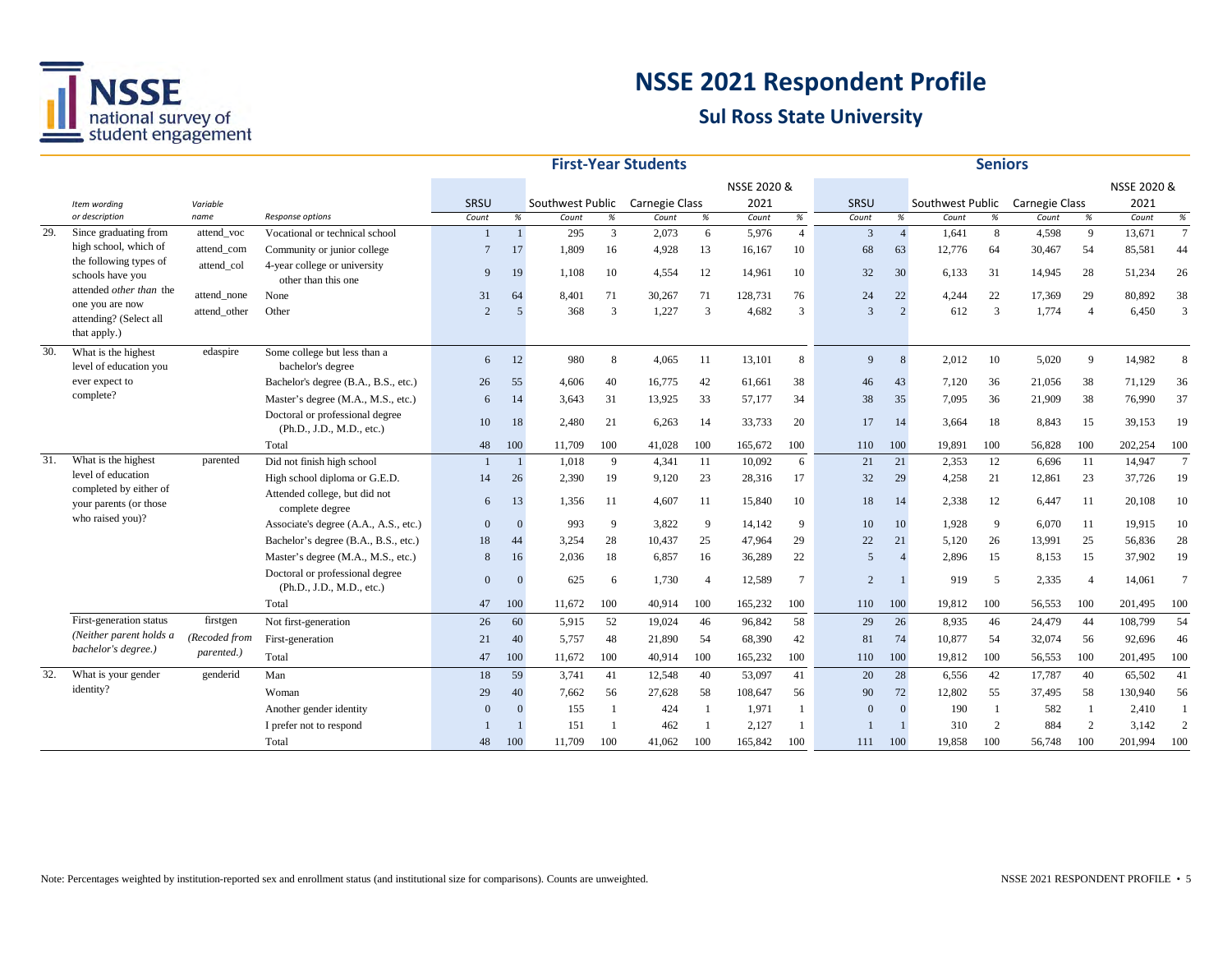

|     |                                                                       |               |                                                              |                 |                |                  |              | <b>First-Year Students</b> |                |             |                 |                |                |                  | <b>Seniors</b> |                       |                |             |                 |
|-----|-----------------------------------------------------------------------|---------------|--------------------------------------------------------------|-----------------|----------------|------------------|--------------|----------------------------|----------------|-------------|-----------------|----------------|----------------|------------------|----------------|-----------------------|----------------|-------------|-----------------|
|     |                                                                       |               |                                                              |                 |                |                  |              |                            |                | NSSE 2020 & |                 |                |                |                  |                |                       |                | NSSE 2020 & |                 |
|     | Item wording                                                          | Variable      |                                                              | SRSU            |                | Southwest Public |              | <b>Carnegie Class</b>      |                | 2021        |                 | SRSU           |                | Southwest Public |                | <b>Carnegie Class</b> |                | 2021        |                 |
|     | or description                                                        | name          | Response options                                             | Count           | $\%$           | Count            | $\%$         | Count                      | $\%$           | Count       | $\%$            | Count          | %              | Count            | $\%$           | Count                 | %              | Count       | $\%$            |
| 29. | Since graduating from                                                 | attend voc    | Vocational or technical school                               |                 |                | 295              | $\mathbf{3}$ | 2,073                      | 6              | 5,976       | $\overline{4}$  | 3              | $\overline{4}$ | 1,641            | 8              | 4,598                 | 9              | 13,671      | $\mathcal{I}$   |
|     | high school, which of                                                 | attend_com    | Community or junior college                                  | $7\phantom{.0}$ | 17             | 1,809            | 16           | 4,928                      | 13             | 16,167      | 10              | 68             | 63             | 12,776           | 64             | 30,467                | 54             | 85,581      | 44              |
|     | the following types of<br>schools have you<br>attended other than the | attend col    | 4-year college or university<br>other than this one          | 9               | 19             | 1,108            | 10           | 4,554                      | 12             | 14,961      | 10              | 32             | 30             | 6,133            | 31             | 14,945                | 28             | 51,234      | 26              |
|     | one you are now                                                       | attend none   | None                                                         | 31              | 64             | 8,401            | 71           | 30,267                     | 71             | 128,731     | 76              | 24             | 22             | 4,244            | 22             | 17,369                | 29             | 80,892      | 38              |
|     | attending? (Select all<br>that apply.)                                | attend other  | Other                                                        | $\mathcal{D}$   | $\overline{5}$ | 368              | 3            | 1,227                      | 3              | 4,682       | 3               | 3              | $\mathcal{D}$  | 612              | 3              | 1,774                 | $\overline{4}$ | 6,450       | 3               |
| 30. | What is the highest<br>level of education you                         | edaspire      | Some college but less than a<br>bachelor's degree            | 6               | 12             | 980              | 8            | 4,065                      | 11             | 13,101      | 8               | 9              | 8              | 2,012            | 10             | 5,020                 | 9              | 14,982      | 8               |
|     | ever expect to                                                        |               | Bachelor's degree (B.A., B.S., etc.)                         | 26              | 55             | 4,606            | 40           | 16,775                     | 42             | 61,661      | 38              | 46             | 43             | 7,120            | 36             | 21,056                | 38             | 71,129      | 36              |
|     | complete?                                                             |               | Master's degree (M.A., M.S., etc.)                           | 6               | 14             | 3,643            | 31           | 13,925                     | 33             | 57,177      | 34              | 38             | 35             | 7,095            | 36             | 21,909                | 38             | 76,990      | 37              |
|     |                                                                       |               | Doctoral or professional degree<br>(Ph.D., J.D., M.D., etc.) | 10              | 18             | 2,480            | 21           | 6,263                      | 14             | 33,733      | 20              | 17             | 14             | 3,664            | 18             | 8,843                 | 15             | 39,153      | 19              |
|     |                                                                       |               | Total                                                        | 48              | 100            | 11,709           | 100          | 41,028                     | 100            | 165,672     | 100             | 110            | 100            | 19,891           | 100            | 56,828                | 100            | 202,254     | 100             |
| 31. | What is the highest                                                   | parented      | Did not finish high school                                   |                 | $\mathbf{1}$   | 1,018            | 9            | 4,341                      | 11             | 10,092      | 6               | 21             | 21             | 2,353            | 12             | 6,696                 | 11             | 14,947      | $7\overline{ }$ |
|     | level of education                                                    |               | High school diploma or G.E.D.                                | 14              | 26             | 2,390            | 19           | 9,120                      | 23             | 28,316      | 17              | 32             | 29             | 4,258            | 21             | 12,861                | 23             | 37,726      | 19              |
|     | completed by either of<br>your parents (or those                      |               | Attended college, but did not<br>complete degree             | 6               | 13             | 1.356            | 11           | 4.607                      | 11             | 15,840      | 10              | 18             | 14             | 2.338            | 12             | 6,447                 | -11            | 20,108      | 10              |
|     | who raised you)?                                                      |               | Associate's degree (A.A., A.S., etc.)                        | $\Omega$        | $\Omega$       | 993              | 9            | 3,822                      | 9              | 14,142      | 9               | 10             | 10             | 1,928            | 9              | 6,070                 | 11             | 19,915      | 10              |
|     |                                                                       |               | Bachelor's degree (B.A., B.S., etc.)                         | 18              | 44             | 3,254            | 28           | 10,437                     | 25             | 47,964      | 29              | 22             | 21             | 5,120            | 26             | 13,991                | 25             | 56,836      | 28              |
|     |                                                                       |               | Master's degree (M.A., M.S., etc.)                           | 8               | 16             | 2,036            | 18           | 6,857                      | 16             | 36,289      | 22              | 5              |                | 2,896            | 15             | 8,153                 | 15             | 37,902      | 19              |
|     |                                                                       |               | Doctoral or professional degree<br>(Ph.D., J.D., M.D., etc.) | $\Omega$        |                | 625              | 6            | 1,730                      | $\overline{4}$ | 12,589      | $7\phantom{.0}$ | $\overline{2}$ |                | 919              | 5              | 2,335                 | $\overline{4}$ | 14,061      | $\overline{7}$  |
|     |                                                                       |               | Total                                                        | 47              | 100            | 11,672           | 100          | 40,914                     | 100            | 165,232     | 100             | 110            | 100            | 19,812           | 100            | 56,553                | 100            | 201,495     | 100             |
|     | First-generation status                                               | firstgen      | Not first-generation                                         | 26              | 60             | 5,915            | 52           | 19,024                     | 46             | 96,842      | 58              | 29             | 26             | 8,935            | 46             | 24,479                | 44             | 108,799     | 54              |
|     | (Neither parent holds a                                               | (Recoded from | First-generation                                             | 21              | 40             | 5,757            | 48           | 21,890                     | 54             | 68,390      | 42              | 81             | 74             | 10,877           | 54             | 32,074                | 56             | 92,696      | 46              |
|     | bachelor's degree.)                                                   | parented.)    | Total                                                        | 47              | 100            | 11,672           | 100          | 40,914                     | 100            | 165,232     | 100             | 110            | 100            | 19,812           | 100            | 56,553                | 100            | 201,495     | 100             |
| 32. | What is your gender                                                   | genderid      | Man                                                          | 18              | 59             | 3,741            | 41           | 12,548                     | 40             | 53,097      | 41              | 20             | 28             | 6,556            | 42             | 17,787                | 40             | 65,502      | 41              |
|     | identity?                                                             |               | Woman                                                        | 29              | 40             | 7.662            | 56           | 27,628                     | 58             | 108,647     | 56              | 90             | 72             | 12,802           | 55             | 37,495                | 58             | 130,940     | 56              |
|     |                                                                       |               | Another gender identity                                      | $\Omega$        | $\Omega$       | 155              | -1           | 424                        |                | 1,971       | -1              | $\Omega$       | $\Omega$       | 190              | -1             | 582                   | 1              | 2,410       |                 |
|     |                                                                       |               | I prefer not to respond                                      |                 |                | 151              |              | 462                        |                | 2,127       | -1              |                |                | 310              | $\overline{2}$ | 884                   | $\overline{c}$ | 3,142       | $\overline{2}$  |
|     |                                                                       |               | Total                                                        | 48              | 100            | 11,709           | 100          | 41,062                     | 100            | 165,842     | 100             | 111            | 100            | 19.858           | 100            | 56,748                | 100            | 201,994     | 100             |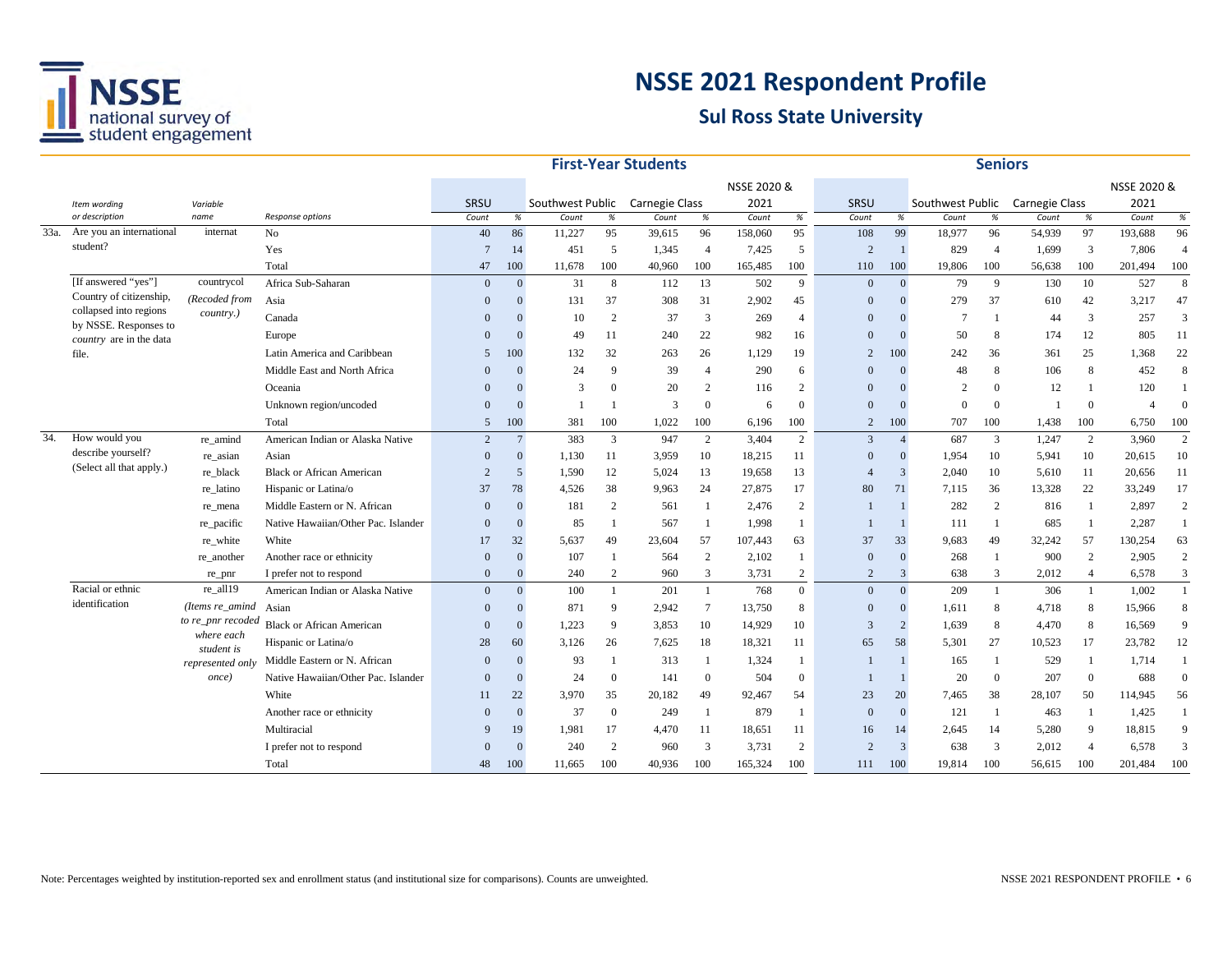

|     |                                                   |                          |                                     |                 |                 |                  |                | <b>First-Year Students</b> |                 |             |                |                |                |                  | <b>Seniors</b> |                |                |                |                |
|-----|---------------------------------------------------|--------------------------|-------------------------------------|-----------------|-----------------|------------------|----------------|----------------------------|-----------------|-------------|----------------|----------------|----------------|------------------|----------------|----------------|----------------|----------------|----------------|
|     |                                                   |                          |                                     |                 |                 |                  |                |                            |                 | NSSE 2020 & |                |                |                |                  |                |                |                | NSSE 2020 &    |                |
|     | Item wording                                      | Variable                 |                                     | SRSU            |                 | Southwest Public |                | Carnegie Class             |                 | 2021        |                | SRSU           |                | Southwest Public |                | Carnegie Class |                | 2021           |                |
|     | or description                                    | name                     | Response options                    | Count           | $\%$            | Count            | $\%$           | Count                      | %               | Count       | %              | Count          | $\%$           | Count            | $\%$           | Count          | %              | Count          | $\%$           |
|     | 33a. Are you an international                     | internat                 | N <sub>o</sub>                      | 40              | 86              | 11,227           | 95             | 39,615                     | 96              | 158,060     | 95             | 108            | 99             | 18,977           | 96             | 54,939         | 97             | 193,688        | 96             |
|     | student?                                          |                          | Yes                                 | $7\phantom{.0}$ | 14              | 451              | 5              | 1,345                      | $\overline{4}$  | 7,425       | 5              | $\overline{2}$ | $\mathbf{1}$   | 829              | $\overline{4}$ | 1,699          | 3              | 7,806          | $\overline{4}$ |
|     |                                                   |                          | Total                               | 47              | 100             | 11,678           | 100            | 40,960                     | 100             | 165,485     | 100            | 110            | 100            | 19,806           | 100            | 56,638         | 100            | 201,494        | 100            |
|     | [If answered "yes"]                               | countrycol               | Africa Sub-Saharan                  | $\Omega$        | $\Omega$        | 31               | 8              | 112                        | 13              | 502         | 9              | $\Omega$       | $\mathbf{0}$   | 79               | 9              | 130            | 10             | 527            | 8              |
|     | Country of citizenship,<br>collapsed into regions | (Recoded from            | Asia                                | $\Omega$        | $\Omega$        | 131              | 37             | 308                        | 31              | 2,902       | 45             | $\Omega$       |                | 279              | 37             | 610            | 42             | 3,217          | 47             |
|     | by NSSE. Responses to                             | <i>country.</i> )        | Canada                              | $\Omega$        | $\Omega$        | 10               | 2              | 37                         | 3               | 269         | $\overline{4}$ | $\Omega$       |                | $\overline{7}$   | -1             | 44             | 3              | 257            | 3              |
|     | country are in the data                           |                          | Europe                              | $\Omega$        | $\Omega$        | 49               | 11             | 240                        | 22              | 982         | 16             | $\mathbf{0}$   |                | 50               | 8              | 174            | 12             | 805            | 11             |
|     | file.                                             |                          | Latin America and Caribbean         | 5               | 100             | 132              | 32             | 263                        | 26              | 1.129       | 19             | 2              | 100            | 242              | 36             | 361            | 25             | 1,368          | 22             |
|     |                                                   |                          | Middle East and North Africa        | $\Omega$        | $\Omega$        | 24               | 9              | 39                         | $\overline{4}$  | 290         | 6              | $\Omega$       | $\Omega$       | 48               | 8              | 106            | 8              | 452            | 8              |
|     |                                                   |                          | Oceania                             | $\Omega$        | $\Omega$        | 3                | $\theta$       | 20                         | 2               | 116         | 2              | $\Omega$       | $\Omega$       | $\overline{2}$   | $\Omega$       | 12             | $\mathbf{1}$   | 120            |                |
|     |                                                   |                          | Unknown region/uncoded              | $\Omega$        | $\Omega$        |                  |                | 3                          | $\mathbf{0}$    | 6           | $\Omega$       | $\Omega$       |                | $\Omega$         | $\Omega$       |                | $\overline{0}$ | $\overline{4}$ | $\Omega$       |
|     |                                                   |                          | Total                               | 5               | 100             | 381              | 100            | 1,022                      | 100             | 6,196       | 100            | $\overline{2}$ | 100            | 707              | 100            | 1,438          | 100            | 6,750          | 100            |
| 34. | How would you                                     | re amind                 | American Indian or Alaska Native    | 2               | $7\phantom{.0}$ | 383              | 3              | 947                        | 2               | 3,404       | $\overline{2}$ | 3              | $\overline{4}$ | 687              | 3              | 1,247          | 2              | 3,960          | $\overline{2}$ |
|     | describe yourself?                                | re_asian                 | Asian                               | $\Omega$        | $\overline{0}$  | 1,130            | 11             | 3,959                      | 10              | 18,215      | 11             | $\Omega$       | $\theta$       | 1,954            | 10             | 5,941          | 10             | 20,615         | 10             |
|     | (Select all that apply.)                          | re black                 | <b>Black or African American</b>    | $\overline{2}$  | 5               | 1,590            | 12             | 5,024                      | 13              | 19,658      | 13             | $\overline{4}$ | 3              | 2,040            | 10             | 5,610          | 11             | 20,656         | 11             |
|     |                                                   | re latino                | Hispanic or Latina/o                | 37              | 78              | 4,526            | 38             | 9,963                      | 24              | 27,875      | 17             | 80             | 71             | 7,115            | 36             | 13,328         | 22             | 33,249         | 17             |
|     |                                                   | re_mena                  | Middle Eastern or N. African        | $\Omega$        | $\Omega$        | 181              | 2              | 561                        | -1              | 2,476       | $\overline{2}$ |                |                | 282              | $\overline{2}$ | 816            | -1             | 2,897          | $\overline{2}$ |
|     |                                                   | re_pacific               | Native Hawaiian/Other Pac. Islander | $\Omega$        | $\Omega$        | 85               |                | 567                        | $\overline{1}$  | 1,998       | -1             |                |                | 111              | -1             | 685            | $\overline{1}$ | 2,287          | 1              |
|     |                                                   | re_white                 | White                               | 17              | 32              | 5,637            | 49             | 23,604                     | 57              | 107,443     | 63             | 37             | 33             | 9,683            | 49             | 32,242         | 57             | 130,254        | 63             |
|     |                                                   | re another               | Another race or ethnicity           | $\Omega$        | $\Omega$        | 107              |                | 564                        | 2               | 2,102       | -1             | $\Omega$       | $\mathbf{0}$   | 268              | -1             | 900            | 2              | 2,905          | $\overline{2}$ |
|     |                                                   | re_pnr                   | I prefer not to respond             | $\mathbf{0}$    | $\overline{0}$  | 240              | 2              | 960                        | 3               | 3,731       | $\mathbf{2}$   | 2              | 3              | 638              | 3              | 2,012          | $\overline{4}$ | 6,578          | 3              |
|     | Racial or ethnic                                  | re_all19                 | American Indian or Alaska Native    | $\Omega$        | $\Omega$        | 100              | $\mathbf{1}$   | 201                        | -1              | 768         | $\overline{0}$ | $\Omega$       | $\overline{0}$ | 209              | $\mathbf{1}$   | 306            | $\mathbf{1}$   | 1,002          |                |
|     | identification                                    | (Items re amind          | Asian                               | $\Omega$        | $\Omega$        | 871              | 9              | 2,942                      | $7\phantom{.0}$ | 13,750      | 8              | $\Omega$       | $\overline{0}$ | 1,611            | 8              | 4,718          | 8              | 15,966         | 8              |
|     |                                                   | to re_pnr recoded        | <b>Black or African American</b>    | $\Omega$        | $\Omega$        | 1,223            | 9              | 3,853                      | 10              | 14,929      | 10             | 3              | $\overline{2}$ | 1,639            | 8              | 4,470          | 8              | 16,569         | $\mathbf{Q}$   |
|     |                                                   | where each<br>student is | Hispanic or Latina/o                | 28              | 60              | 3,126            | 26             | 7,625                      | 18              | 18,321      | 11             | 65             | 58             | 5,301            | 27             | 10,523         | 17             | 23,782         | 12             |
|     |                                                   | represented only         | Middle Eastern or N. African        | $\Omega$        | $\Omega$        | 93               |                | 313                        | $\overline{1}$  | 1,324       | $\mathbf{1}$   |                |                | 165              | -1             | 529            | $\overline{1}$ | 1,714          |                |
|     |                                                   | once)                    | Native Hawaiian/Other Pac. Islander | $\Omega$        | $\Omega$        | 24               | $\theta$       | 141                        | $\overline{0}$  | 504         | $\Omega$       |                |                | 20               | $\theta$       | 207            | $\overline{0}$ | 688            | $\overline{0}$ |
|     |                                                   |                          | White                               | 11              | 22              | 3,970            | 35             | 20,182                     | 49              | 92,467      | 54             | 23             | 20             | 7,465            | 38             | 28,107         | 50             | 114,945        | 56             |
|     |                                                   |                          | Another race or ethnicity           | $\Omega$        | $\Omega$        | 37               | $\overline{0}$ | 249                        | -1              | 879         | -1             | $\Omega$       | $\Omega$       | 121              | -1             | 463            | -1             | 1,425          |                |
|     |                                                   |                          | Multiracial                         | 9               | 19              | 1,981            | 17             | 4,470                      | 11              | 18,651      | 11             | 16             | 14             | 2,645            | 14             | 5,280          | 9              | 18,815         | 9              |
|     |                                                   |                          | I prefer not to respond             | $\Omega$        |                 | 240              | $\overline{2}$ | 960                        | 3               | 3,731       | $\overline{2}$ | $\overline{2}$ | 3              | 638              | 3              | 2,012          | $\overline{4}$ | 6,578          | 3              |
|     |                                                   |                          | Total                               | 48              | 100             | 11,665           | 100            | 40.936                     | 100             | 165,324     | 100            | 111            | 100            | 19.814           | 100            | 56,615         | 100            | 201,484        | 100            |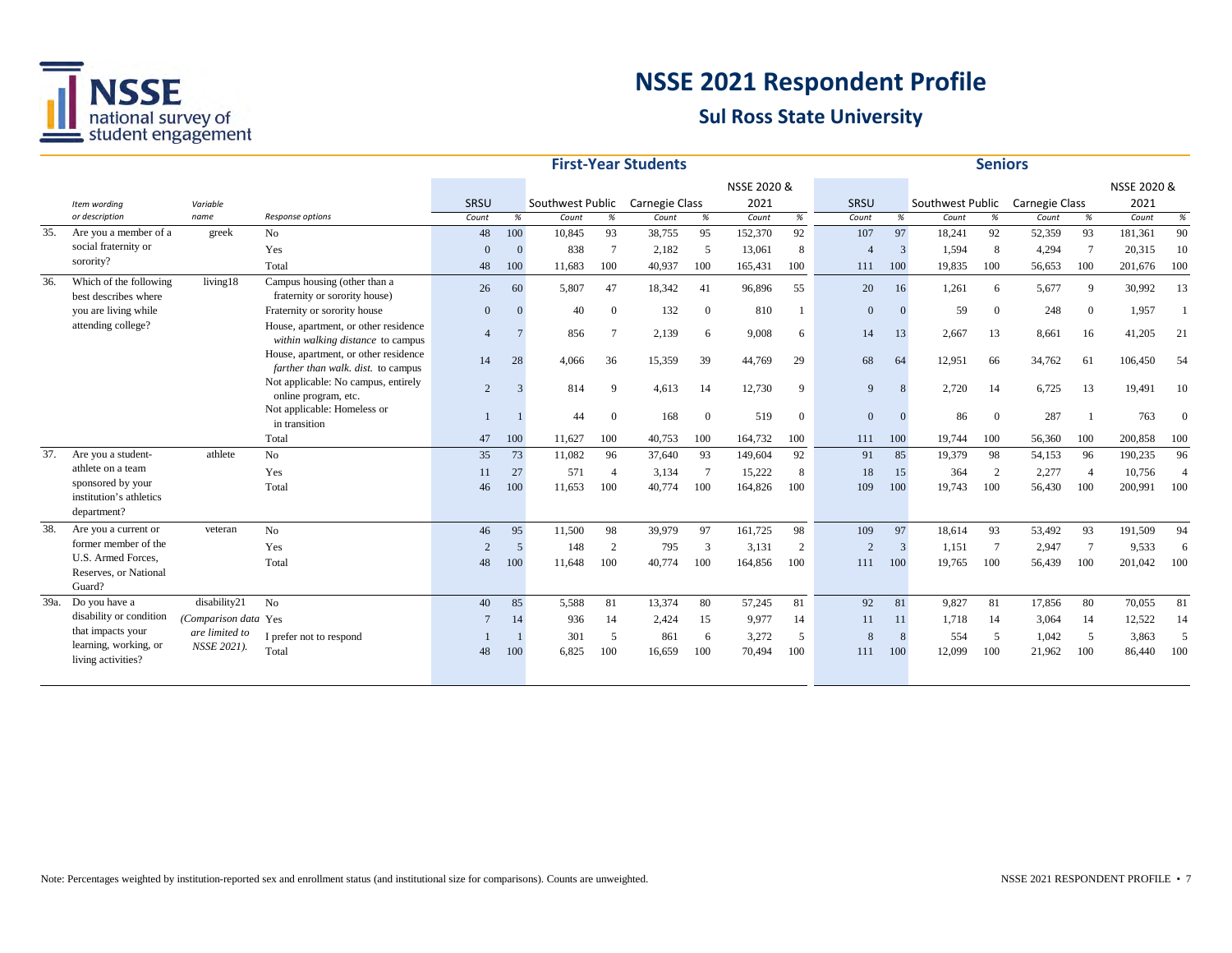

|     |                                                             |                      |                                                                            |                |                |                  |                 | <b>First-Year Students</b> |               |             |                |                |          |                  | <b>Seniors</b> |                |                 |             |                |
|-----|-------------------------------------------------------------|----------------------|----------------------------------------------------------------------------|----------------|----------------|------------------|-----------------|----------------------------|---------------|-------------|----------------|----------------|----------|------------------|----------------|----------------|-----------------|-------------|----------------|
|     |                                                             |                      |                                                                            |                |                |                  |                 |                            |               | NSSE 2020 & |                |                |          |                  |                |                |                 | NSSE 2020 & |                |
|     | Item wording                                                | Variable             |                                                                            | SRSU           |                | Southwest Public |                 | Carnegie Class             |               | 2021        |                | SRSU           |          | Southwest Public |                | Carnegie Class |                 | 2021        |                |
|     | or description                                              | name                 | Response options                                                           | Count          | $\%$           | Count            | $\%$            | Count                      | %             | Count       | $\%$           | Count          | %        | Count            | $\%$           | Count          | $\%$            | Count       | $\%$           |
| 35. | Are you a member of a                                       | greek                | No                                                                         | 48             | 100            | 10,845           | 93              | 38,755                     | 95            | 152,370     | 92             | 107            | 97       | 18,241           | 92             | 52,359         | 93              | 181,361     | 90             |
|     | social fraternity or                                        |                      | Yes                                                                        | $\Omega$       | $\overline{0}$ | 838              | $7\phantom{.0}$ | 2,182                      | 5             | 13,061      | 8              |                | 3        | 1,594            | 8              | 4,294          | $7\phantom{.0}$ | 20,315      | 10             |
|     | sorority?                                                   |                      | Total                                                                      | 48             | 100            | 11.683           | 100             | 40,937                     | 100           | 165,431     | 100            | 111            | 100      | 19,835           | 100            | 56,653         | 100             | 201,676     | 100            |
| 36. | Which of the following<br>best describes where              | living18             | Campus housing (other than a<br>fraternity or sorority house)              | 26             | 60             | 5,807            | 47              | 18,342                     | 41            | 96,896      | 55             | 20             | 16       | 1,261            | 6              | 5,677          | 9               | 30,992      | 13             |
|     | you are living while                                        |                      | Fraternity or sorority house                                               | $\mathbf{0}$   | $\Omega$       | 40               | $\overline{0}$  | 132                        | $\Omega$      | 810         | 1              | $\overline{0}$ | $\Omega$ | 59               | $\overline{0}$ | 248            | $\overline{0}$  | 1,957       |                |
|     | attending college?                                          |                      | House, apartment, or other residence<br>within walking distance to campus  | $\overline{4}$ |                | 856              | 7               | 2,139                      | 6             | 9,008       | 6              | 14             | 13       | 2,667            | 13             | 8,661          | 16              | 41,205      | 21             |
|     |                                                             |                      | House, apartment, or other residence<br>farther than walk. dist. to campus | 14             | 28             | 4.066            | 36              | 15,359                     | 39            | 44,769      | 29             | 68             | 64       | 12.951           | 66             | 34,762         | 61              | 106,450     | -54            |
|     |                                                             |                      | Not applicable: No campus, entirely<br>online program, etc.                | $\overline{2}$ | $\mathcal{R}$  | 814              | 9               | 4,613                      | 14            | 12,730      | 9              | 9              | 8        | 2,720            | 14             | 6,725          | 13              | 19,491      | 10             |
|     |                                                             |                      | Not applicable: Homeless or<br>in transition                               |                |                | 44               | $\overline{0}$  | 168                        | $\Omega$      | 519         | $\overline{0}$ | $\Omega$       | $\Omega$ | 86               | $\Omega$       | 287            |                 | 763         |                |
|     |                                                             |                      | Total                                                                      | 47             | 100            | 11,627           | 100             | 40,753                     | 100           | 164,732     | 100            | 111            | 100      | 19.744           | 100            | 56,360         | 100             | 200,858     | 100            |
| 37. | Are you a student-                                          | athlete              | No                                                                         | 35             | 73             | 11,082           | 96              | 37,640                     | 93            | 149,604     | 92             | 91             | 85       | 19,379           | 98             | 54,153         | 96              | 190,235     | 96             |
|     | athlete on a team                                           |                      | Yes                                                                        | 11             | 27             | 571              | $\overline{4}$  | 3,134                      | 7             | 15,222      | 8              | 18             | 15       | 364              | 2              | 2,277          | $\overline{4}$  | 10,756      | $\overline{4}$ |
|     | sponsored by your<br>institution's athletics<br>department? |                      | Total                                                                      | 46             | 100            | 11.653           | 100             | 40,774                     | 100           | 164,826     | 100            | 109            | 100      | 19.743           | 100            | 56,430         | 100             | 200.991     | 100            |
| 38. | Are you a current or                                        | veteran              | No                                                                         | 46             | 95             | 11,500           | 98              | 39,979                     | 97            | 161,725     | 98             | 109            | 97       | 18,614           | 93             | 53,492         | 93              | 191,509     | 94             |
|     | former member of the                                        |                      | Yes                                                                        | $\mathcal{D}$  | $\overline{5}$ | 148              | 2               | 795                        | $\mathcal{R}$ | 3,131       | 2              | $\overline{2}$ | 3        | 1,151            | $\tau$         | 2,947          | $7\phantom{.0}$ | 9,533       | 6              |
|     | U.S. Armed Forces.                                          |                      | Total                                                                      | 48             | 100            | 11,648           | 100             | 40,774                     | 100           | 164,856     | 100            | 111            | 100      | 19,765           | 100            | 56,439         | 100             | 201,042     | 100            |
|     | Reserves, or National<br>Guard?                             |                      |                                                                            |                |                |                  |                 |                            |               |             |                |                |          |                  |                |                |                 |             |                |
|     | 39a. Do you have a                                          | disability21         | N <sub>o</sub>                                                             | 40             | 85             | 5.588            | 81              | 13,374                     | 80            | 57,245      | 81             | 92             | 81       | 9,827            | 81             | 17.856         | 80              | 70,055      | 81             |
|     | disability or condition                                     | (Comparison data Yes |                                                                            |                | 14             | 936              | 14              | 2,424                      | 15            | 9,977       | 14             | 11             | 11       | 1,718            | 14             | 3,064          | 14              | 12,522      | 14             |
|     | that impacts your                                           | are limited to       | I prefer not to respond                                                    |                |                | 301              | 5               | 861                        | 6             | 3,272       | 5              | 8              | 8        | 554              | 5              | 1,042          | 5               | 3,863       | $\overline{2}$ |
|     | learning, working, or<br>living activities?                 | NSSE 2021).          | Total                                                                      | 48             | 100            | 6,825            | 100             | 16,659                     | 100           | 70,494      | 100            | 111            | 100      | 12,099           | 100            | 21,962         | 100             | 86,440      | 100            |
|     |                                                             |                      |                                                                            |                |                |                  |                 |                            |               |             |                |                |          |                  |                |                |                 |             |                |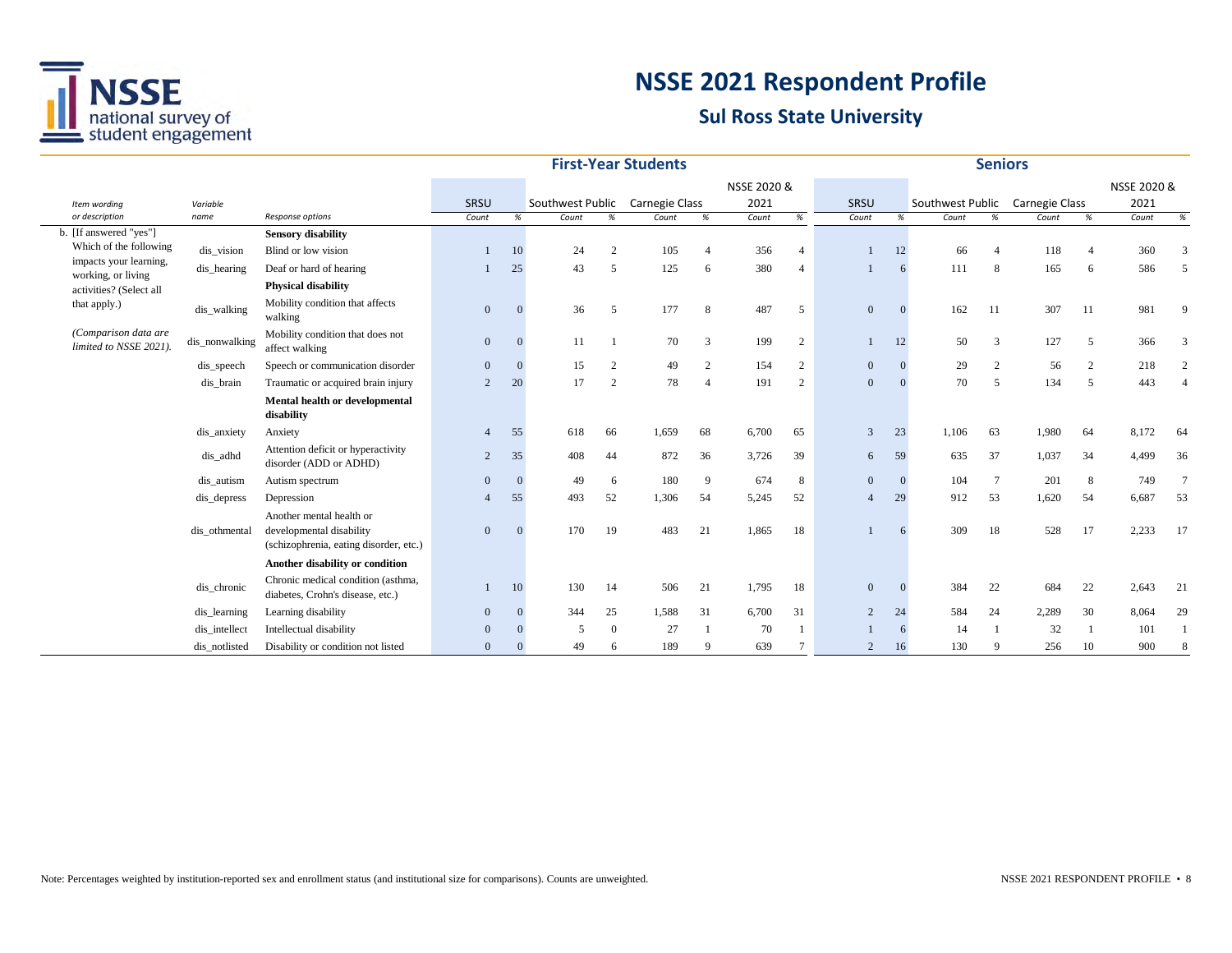

|                                                  |                |                                                                                                |                |              |                  |                | <b>First-Year Students</b> |                |             |                 |                |    |                  | <b>Seniors</b> |                |                |             |             |
|--------------------------------------------------|----------------|------------------------------------------------------------------------------------------------|----------------|--------------|------------------|----------------|----------------------------|----------------|-------------|-----------------|----------------|----|------------------|----------------|----------------|----------------|-------------|-------------|
|                                                  |                |                                                                                                |                |              |                  |                |                            |                | NSSE 2020 & |                 |                |    |                  |                |                |                | NSSE 2020 & |             |
| Item wording                                     | Variable       |                                                                                                | SRSU           |              | Southwest Public |                | Carnegie Class             |                | 2021        |                 | SRSU           |    | Southwest Public |                | Carnegie Class |                | 2021        |             |
| or description                                   | name           | Response options                                                                               | Count          | %            | Count            | $\%$           | Count                      | $\%$           | Count       | %               | Count          | %  | Count            | %              | Count          | %              | Count       | %           |
| b. [If answered "yes"]                           |                | <b>Sensory disability</b>                                                                      |                |              |                  |                |                            |                |             |                 |                |    |                  |                |                |                |             |             |
| Which of the following<br>impacts your learning, | dis_vision     | Blind or low vision                                                                            |                | 10           | 24               | $\overline{2}$ | 105                        | $\overline{4}$ | 356         | $\overline{4}$  |                | 12 | 66               | $\overline{4}$ | 118            | $\overline{4}$ | 360         |             |
| working, or living                               | dis hearing    | Deaf or hard of hearing                                                                        |                | 25           | 43               | 5              | 125                        | 6              | 380         | $\overline{4}$  |                | 6  | 111              | 8              | 165            | 6              | 586         |             |
| activities? (Select all                          |                | <b>Physical disability</b>                                                                     |                |              |                  |                |                            |                |             |                 |                |    |                  |                |                |                |             |             |
| that apply.)                                     | dis_walking    | Mobility condition that affects<br>walking                                                     | $\overline{0}$ | $\Omega$     | 36               | 5              | 177                        | 8              | 487         | 5               | $\mathbf{0}$   |    | 162              | -11            | 307            | 11             | 981         | $\mathbf Q$ |
| (Comparison data are<br>limited to NSSE 2021).   | dis_nonwalking | Mobility condition that does not<br>affect walking                                             | $\mathbf{0}$   | $\mathbf{0}$ | 11               |                | 70                         | $\overline{3}$ | 199         | $\overline{2}$  |                | 12 | 50               | 3              | 127            | 5              | 366         |             |
|                                                  | dis_speech     | Speech or communication disorder                                                               | $\overline{0}$ | $\Omega$     | 15               | 2              | 49                         | $\overline{2}$ | 154         | $\overline{2}$  | $\mathbf{0}$   |    | 29               | 2              | 56             | 2              | 218         |             |
|                                                  | dis brain      | Traumatic or acquired brain injury                                                             | $\overline{2}$ | 20           | 17               | 2              | 78                         | $\overline{4}$ | 191         | $\overline{2}$  | $\mathbf{0}$   |    | 70               | 5              | 134            | 5              | 443         |             |
|                                                  |                | Mental health or developmental<br>disability                                                   |                |              |                  |                |                            |                |             |                 |                |    |                  |                |                |                |             |             |
|                                                  | dis_anxiety    | Anxiety                                                                                        | $\overline{4}$ | 55           | 618              | 66             | 1,659                      | 68             | 6,700       | 65              | 3              | 23 | 1,106            | 63             | 1,980          | 64             | 8,172       | 64          |
|                                                  | dis_adhd       | Attention deficit or hyperactivity<br>disorder (ADD or ADHD)                                   | 2              | 35           | 408              | 44             | 872                        | 36             | 3,726       | 39              | 6              | 59 | 635              | 37             | 1,037          | 34             | 4,499       | 36          |
|                                                  | dis autism     | Autism spectrum                                                                                | $\Omega$       | $\Omega$     | 49               | 6              | 180                        | 9              | 674         | 8               | $\mathbf{0}$   |    | 104              | $\tau$         | 201            | 8              | 749         |             |
|                                                  | dis_depress    | Depression                                                                                     |                | 55           | 493              | 52             | 1,306                      | 54             | 5,245       | 52              | $\overline{4}$ | 29 | 912              | 53             | 1,620          | 54             | 6,687       | 53          |
|                                                  | dis othmental  | Another mental health or<br>developmental disability<br>(schizophrenia, eating disorder, etc.) | $\overline{0}$ | $\Omega$     | 170              | 19             | 483                        | 21             | 1,865       | 18              |                | 6  | 309              | 18             | 528            | 17             | 2,233       | -17         |
|                                                  |                | Another disability or condition                                                                |                |              |                  |                |                            |                |             |                 |                |    |                  |                |                |                |             |             |
|                                                  | dis_chronic    | Chronic medical condition (asthma,<br>diabetes, Crohn's disease, etc.)                         |                | 10           | 130              | 14             | 506                        | 21             | 1,795       | 18              | $\mathbf{0}$   |    | 384              | 22             | 684            | 22             | 2,643       | 21          |
|                                                  | dis_learning   | Learning disability                                                                            | $\overline{0}$ | $\mathbf{0}$ | 344              | 25             | 1,588                      | 31             | 6,700       | 31              | 2              | 24 | 584              | 24             | 2,289          | 30             | 8,064       | 29          |
|                                                  | dis intellect  | Intellectual disability                                                                        | $\Omega$       |              | 5                | $\Omega$       | 27                         |                | 70          |                 |                | 6  | 14               |                | 32             | -1             | 101         |             |
|                                                  | dis_notlisted  | Disability or condition not listed                                                             | $\overline{0}$ |              | 49               | 6              | 189                        | 9              | 639         | $7\phantom{.0}$ | 2              | 16 | 130              | -9             | 256            | 10             | 900         |             |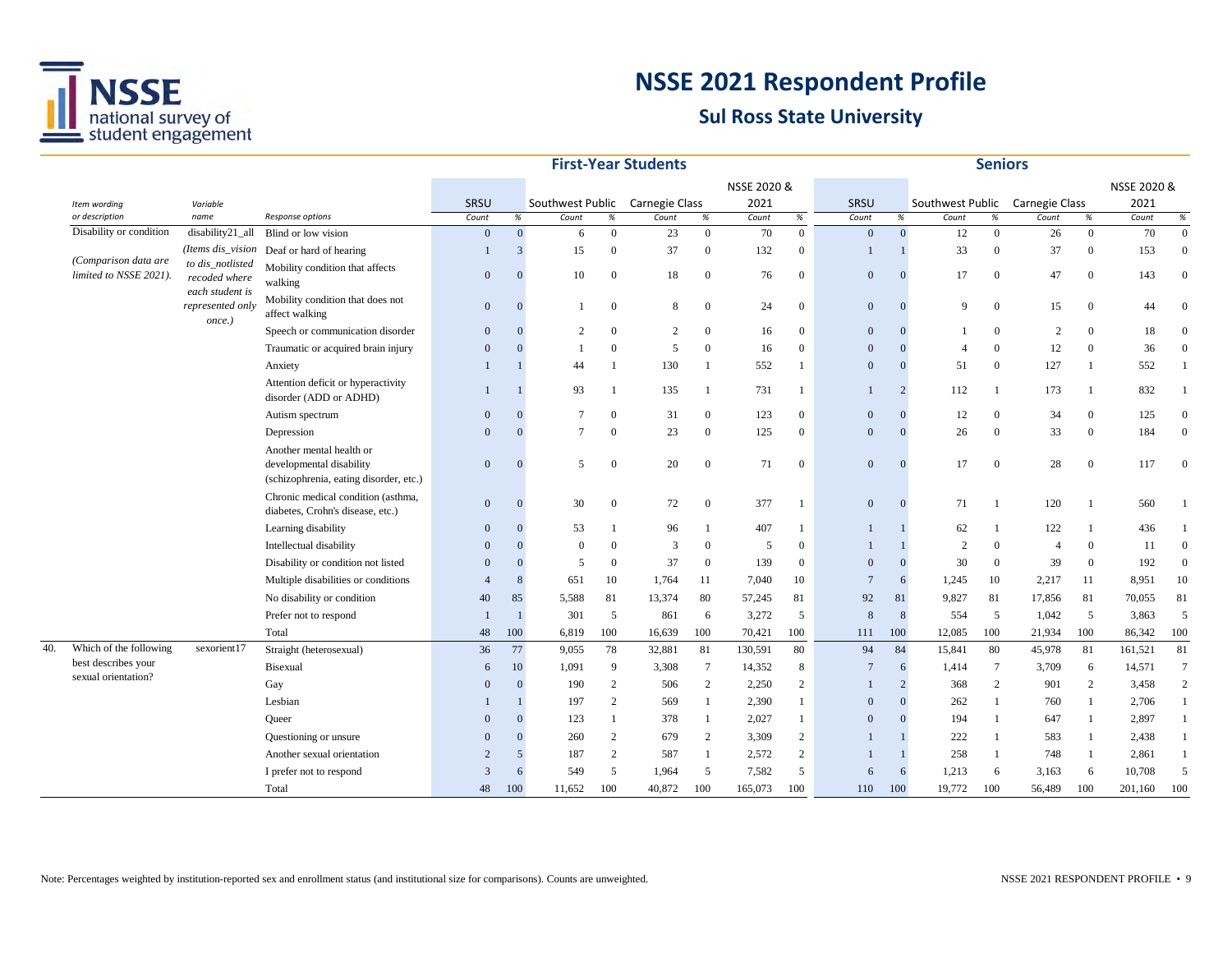

|     |                                                |                                                      |                                                                                                |                |                  |                                 |              | <b>First-Year Students</b> |                 |         |                  |              |                |                                 | <b>Seniors</b>   |                |                |         |                |
|-----|------------------------------------------------|------------------------------------------------------|------------------------------------------------------------------------------------------------|----------------|------------------|---------------------------------|--------------|----------------------------|-----------------|---------|------------------|--------------|----------------|---------------------------------|------------------|----------------|----------------|---------|----------------|
|     | Item wording<br>Variable                       |                                                      |                                                                                                |                |                  |                                 |              |                            | NSSE 2020 &     |         |                  |              |                |                                 |                  |                | NSSE 2020 &    |         |                |
|     |                                                |                                                      |                                                                                                | SRSU           |                  | Southwest Public Carnegie Class |              |                            |                 | 2021    |                  | SRSU         |                | Southwest Public Carnegie Class |                  |                |                | 2021    |                |
|     | or description                                 | name                                                 | Response options                                                                               | Count          | $\%$             | Count                           | $\%$         | Count                      | %               | Count   | $\%$             | Count        | %              | Count                           | $\%$             | Count          | $\%$           | Count   | $\%$           |
|     | Disability or condition                        | disability21_all                                     | Blind or low vision                                                                            | $\mathbf{0}$   | $\boldsymbol{0}$ | 6                               | $\mathbf{0}$ | 23                         | $\overline{0}$  | 70      | $\boldsymbol{0}$ | $\mathbf{0}$ | $\mathbf{0}$   | 12                              | $\mathbf{0}$     | 26             | $\mathbf{0}$   | 70      | $\overline{0}$ |
|     |                                                | (Items dis_vision                                    | Deaf or hard of hearing                                                                        |                | 3                | 15                              | $\Omega$     | 37                         | $\overline{0}$  | 132     | $\boldsymbol{0}$ |              |                | 33                              | $\mathbf{0}$     | 37             | $\overline{0}$ | 153     | $\overline{0}$ |
|     | (Comparison data are<br>limited to NSSE 2021). | to dis_notlisted<br>recoded where<br>each student is | Mobility condition that affects<br>walking                                                     | $\Omega$       | 0                | 10                              | $\Omega$     | 18                         | $\overline{0}$  | 76      | $\boldsymbol{0}$ | $\Omega$     | $\Omega$       | 17                              | $\overline{0}$   | 47             | $\overline{0}$ | 143     | $\Omega$       |
|     |                                                | represented only<br>once.)                           | Mobility condition that does not<br>affect walking                                             | $\mathbf{0}$   | $\overline{0}$   |                                 | $\Omega$     | 8                          | $\Omega$        | 24      | $\mathbf{0}$     | $\mathbf{0}$ | $\Omega$       | $\mathbf Q$                     | $\mathbf{0}$     | 15             | $\mathbf{0}$   | 44      | $\Omega$       |
|     |                                                |                                                      | Speech or communication disorder                                                               | $\Omega$       | 0                | $\overline{c}$                  | $\Omega$     | 2                          | $\mathbf{0}$    | 16      | $\mathbf{0}$     | $\Omega$     |                |                                 | $\Omega$         | $\overline{2}$ | $\Omega$       | 18      | $\Omega$       |
|     |                                                |                                                      | Traumatic or acquired brain injury                                                             | $\Omega$       |                  |                                 | $\Omega$     | 5                          | $\Omega$        | 16      | $\mathbf{0}$     | $\Omega$     | $\Omega$       | 4                               | $\Omega$         | 12             | $\overline{0}$ | 36      | $\Omega$       |
|     |                                                |                                                      | Anxiety                                                                                        |                |                  | 44                              | -1           | 130                        | $\overline{1}$  | 552     | -1               | $\Omega$     | $\Omega$       | 51                              | $\boldsymbol{0}$ | 127            | $\mathbf{1}$   | 552     |                |
|     |                                                |                                                      | Attention deficit or hyperactivity<br>disorder (ADD or ADHD)                                   |                |                  | 93                              |              | 135                        | -1              | 731     | -1               |              | $\overline{2}$ | 112                             | -1               | 173            |                | 832     | -1             |
|     |                                                |                                                      | Autism spectrum                                                                                | $\Omega$       |                  | 7                               | $\Omega$     | 31                         | $\mathbf{0}$    | 123     | $\mathbf{0}$     | $\Omega$     | $\Omega$       | 12                              | $\overline{0}$   | 34             | $\overline{0}$ | 125     | $\Omega$       |
|     |                                                |                                                      | Depression                                                                                     | $\Omega$       |                  | $\overline{7}$                  | $\Omega$     | 23                         | $\overline{0}$  | 125     | $\mathbf{0}$     | $\Omega$     |                | 26                              | $\mathbf{0}$     | 33             | $\mathbf{0}$   | 184     | $\Omega$       |
|     |                                                |                                                      | Another mental health or<br>developmental disability<br>(schizophrenia, eating disorder, etc.) | $\mathbf{0}$   |                  | 5                               | $\Omega$     | 20                         | $\overline{0}$  | 71      | $\mathbf{0}$     | $\Omega$     | $\Omega$       | 17                              | $\boldsymbol{0}$ | 28             | $\overline{0}$ | 117     |                |
|     |                                                |                                                      | Chronic medical condition (asthma,<br>diabetes, Crohn's disease, etc.)                         | $\mathbf{0}$   |                  | 30                              | $\theta$     | 72                         | $\mathbf{0}$    | 377     | -1               | $\mathbf{0}$ | $\Omega$       | 71                              | $\mathbf{1}$     | 120            | $\mathbf{1}$   | 560     |                |
|     |                                                |                                                      | Learning disability                                                                            | $\mathbf{0}$   |                  | 53                              |              | 96                         | $\mathbf{1}$    | 407     | -1               |              |                | 62                              | -1               | 122            | $\mathbf{1}$   | 436     |                |
|     |                                                |                                                      | Intellectual disability                                                                        | $\Omega$       |                  | $\Omega$                        | $\theta$     | 3                          | $\overline{0}$  | 5       | $\mathbf{0}$     |              |                | $\overline{2}$                  | $\mathbf{0}$     | $\overline{4}$ | $\mathbf{0}$   | 11      | $\Omega$       |
|     |                                                |                                                      | Disability or condition not listed                                                             | $\Omega$       |                  | 5                               | $\theta$     | 37                         | $\overline{0}$  | 139     | $\overline{0}$   | $\Omega$     | $\overline{0}$ | 30                              | $\overline{0}$   | 39             | $\overline{0}$ | 192     | $\Omega$       |
|     |                                                |                                                      | Multiple disabilities or conditions                                                            |                | 8                | 651                             | 10           | 1,764                      | 11              | 7,040   | 10               | 7            | 6              | 1,245                           | 10               | 2,217          | 11             | 8,951   | 10             |
|     |                                                |                                                      | No disability or condition                                                                     | 40             | 85               | 5,588                           | 81           | 13,374                     | 80              | 57,245  | 81               | 92           | 81             | 9,827                           | 81               | 17,856         | 81             | 70,055  | 81             |
|     |                                                |                                                      | Prefer not to respond                                                                          |                |                  | 301                             | 5            | 861                        | 6               | 3,272   | 5                |              | 8              | 554                             | 5                | 1,042          | 5              | 3,863   | 5              |
|     |                                                |                                                      | Total                                                                                          | 48             | 100              | 6,819                           | 100          | 16,639                     | 100             | 70,421  | 100              | 111          | 100            | 12,085                          | 100              | 21,934         | 100            | 86,342  | 100            |
| 40. | Which of the following                         | sexorient17                                          | Straight (heterosexual)                                                                        | 36             | 77               | 9,055                           | 78           | 32,881                     | 81              | 130,591 | 80               | 94           | 84             | 15,841                          | 80               | 45,978         | 81             | 161,521 | 81             |
|     | best describes your                            |                                                      | Bisexual                                                                                       | 6              | 10               | 1,091                           | 9            | 3,308                      | $7\phantom{.0}$ | 14,352  | 8                | 7            | 6              | 1,414                           | $\tau$           | 3,709          | 6              | 14,571  | $\tau$         |
|     | sexual orientation?                            |                                                      | Gay                                                                                            | $\Omega$       | 0                | 190                             | 2            | 506                        | 2               | 2,250   | $\overline{c}$   |              | $\overline{2}$ | 368                             | 2                | 901            | 2              | 3,458   | 2              |
|     |                                                |                                                      | Lesbian                                                                                        |                |                  | 197                             | 2            | 569                        | $\overline{1}$  | 2,390   | -1               | $\Omega$     | $\theta$       | 262                             | -1               | 760            | $\mathbf{1}$   | 2,706   | $\mathbf{1}$   |
|     |                                                |                                                      | Oueer                                                                                          | $\Omega$       |                  | 123                             | -1           | 378                        | -1              | 2,027   | -1               | $\Omega$     | $\Omega$       | 194                             | -1               | 647            | -1             | 2,897   | 1              |
|     |                                                |                                                      | Questioning or unsure                                                                          | $\Omega$       | 0                | 260                             | 2            | 679                        | 2               | 3,309   | $\overline{c}$   |              |                | 222                             | 1                | 583            | 1              | 2,438   | $\mathbf{1}$   |
|     |                                                |                                                      | Another sexual orientation                                                                     | $\overline{2}$ | 5                | 187                             | 2            | 587                        | $\overline{1}$  | 2,572   | $\overline{c}$   |              |                | 258                             | 1                | 748            | -1             | 2,861   | $\mathbf{1}$   |
|     |                                                |                                                      | I prefer not to respond                                                                        | 3              | 6                | 549                             | 5            | 1,964                      | 5               | 7,582   | 5                | 6            | 6              | 1,213                           | 6                | 3,163          | 6              | 10,708  | 5              |
|     |                                                |                                                      | Total                                                                                          | 48             | 100              | 11,652                          | 100          | 40,872                     | 100             | 165,073 | 100              | 110          | 100            | 19,772                          | 100              | 56,489         | 100            | 201,160 | 100            |